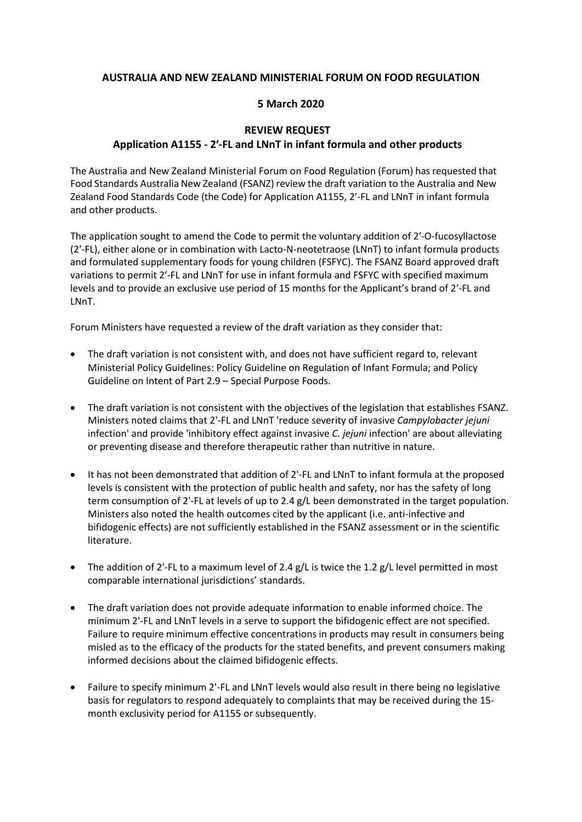## **AUSTRALIA AND NEW ZEALAND MINISTERIAL FORUM ON FOOD REGULATION**

## **5 March 2020**

## **REVIEW REQUEST Application A1155 - 2′-FL and LNnT in infant formula and other products**

The Australia and New Zealand Ministerial Forum on Food Regulation (Forum) has requested that Food Standards Australia New Zealand (FSANZ) review the draft variation to the Australia and New Zealand Food Standards Code (the Code) for Application A1155, 2′-FL and LNnT in infant formula and other products.

The application sought to amend the Code to permit the voluntary addition of 2′-O-fucosyllactose (2′-FL), either alone or in combination with Lacto-N-neotetraose (LNnT) to infant formula products and formulated supplementary foods for young children (FSFYC). The FSANZ Board approved draft variations to permit 2′-FL and LNnT for use in infant formula and FSFYC with specified maximum levels and to provide an exclusive use period of 15 months for the Applicant's brand of 2′-FL and LNnT.

Forum Ministers have requested a review of the draft variation as they consider that:

- The draft variation is not consistent with, and does not have sufficient regard to, relevant Ministerial Policy Guidelines: Policy Guideline on Regulation of Infant Formula; and Policy Guideline on Intent of Part 2.9 – Special Purpose Foods.
- The draft variation is not consistent with the objectives of the legislation that establishes FSANZ. Ministers noted claims that 2'-FL and LNnT 'reduce severity of invasive *Campylobacter jejuni* infection' and provide 'inhibitory effect against invasive *C. jejuni* infection' are about alleviating or preventing disease and therefore therapeutic rather than nutritive in nature.
- It has not been demonstrated that addition of 2'-FL and LNnT to infant formula at the proposed levels is consistent with the protection of public health and safety, nor has the safety of long term consumption of 2'-FL at levels of up to 2.4 g/L been demonstrated in the target population. Ministers also noted the health outcomes cited by the applicant (i.e. anti-infective and bifidogenic effects) are not sufficiently established in the FSANZ assessment or in the scientific literature.
- The addition of 2'-FL to a maximum level of 2.4  $g/L$  is twice the 1.2  $g/L$  level permitted in most comparable international jurisdictions' standards.
- The draft variation does not provide adequate information to enable informed choice. The minimum 2'-FL and LNnT levels in a serve to support the bifidogenic effect are not specified. Failure to require minimum effective concentrations in products may result in consumers being misled as to the efficacy of the products for the stated benefits, and prevent consumers making informed decisions about the claimed bifidogenic effects.
- Failure to specify minimum 2'-FL and LNnT levels would also result in there being no legislative basis for regulators to respond adequately to complaints that may be received during the 15 month exclusivity period for A1155 or subsequently.